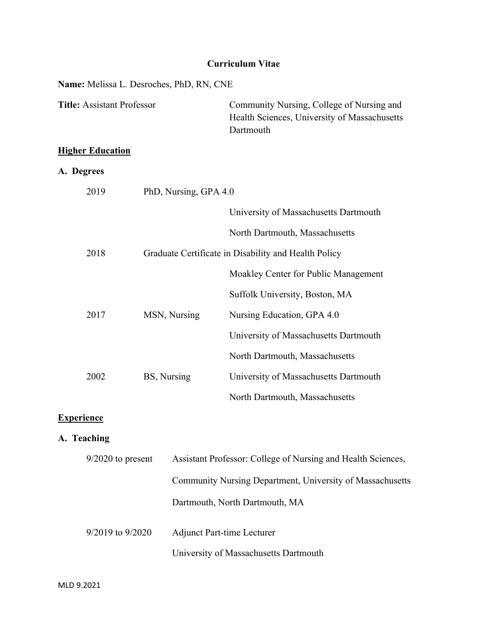## **Curriculum Vitae**

# **Name:** Melissa L. Desroches, PhD, RN, CNE

| <b>Title: Assistant Professor</b> |                       | Community Nursing, College of Nursing and<br>Health Sciences, University of Massachusetts<br>Dartmouth |
|-----------------------------------|-----------------------|--------------------------------------------------------------------------------------------------------|
| <b>Higher Education</b>           |                       |                                                                                                        |
| A. Degrees                        |                       |                                                                                                        |
| 2019                              | PhD, Nursing, GPA 4.0 |                                                                                                        |
|                                   |                       | University of Massachusetts Dartmouth                                                                  |
|                                   |                       | North Dartmouth, Massachusetts                                                                         |
| 2018                              |                       | Graduate Certificate in Disability and Health Policy                                                   |
|                                   |                       | Moakley Center for Public Management                                                                   |
|                                   |                       | Suffolk University, Boston, MA                                                                         |
| 2017                              | MSN, Nursing          | Nursing Education, GPA 4.0                                                                             |
|                                   |                       | University of Massachusetts Dartmouth                                                                  |
|                                   |                       | North Dartmouth, Massachusetts                                                                         |
| 2002                              | BS, Nursing           | University of Massachusetts Dartmouth                                                                  |
|                                   |                       | North Dartmouth, Massachusetts                                                                         |

## **Experience**

## **A. Teaching**

| $9/2020$ to present  | Assistant Professor: College of Nursing and Health Sciences, |  |
|----------------------|--------------------------------------------------------------|--|
|                      | Community Nursing Department, University of Massachusetts    |  |
|                      | Dartmouth, North Dartmouth, MA                               |  |
| $9/2019$ to $9/2020$ | <b>Adjunct Part-time Lecturer</b>                            |  |
|                      | University of Massachusetts Dartmouth                        |  |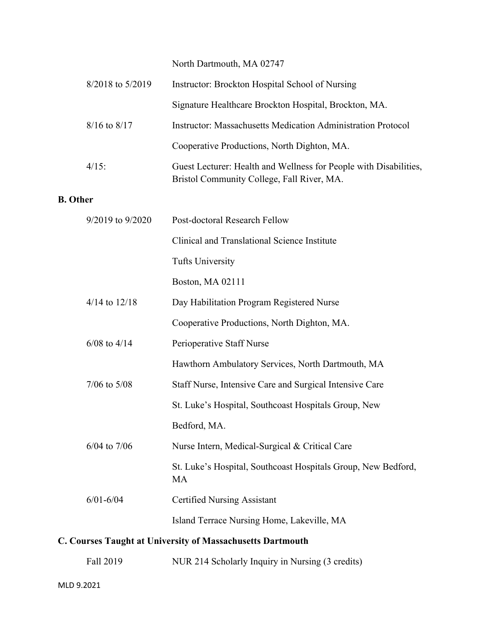North Dartmouth, MA 02747

|                                                            | 8/2018 to 5/2019  | Instructor: Brockton Hospital School of Nursing                                                                 |
|------------------------------------------------------------|-------------------|-----------------------------------------------------------------------------------------------------------------|
|                                                            |                   | Signature Healthcare Brockton Hospital, Brockton, MA.                                                           |
|                                                            | $8/16$ to $8/17$  | <b>Instructor: Massachusetts Medication Administration Protocol</b>                                             |
|                                                            |                   | Cooperative Productions, North Dighton, MA.                                                                     |
|                                                            | 4/15:             | Guest Lecturer: Health and Wellness for People with Disabilities,<br>Bristol Community College, Fall River, MA. |
| <b>B.</b> Other                                            |                   |                                                                                                                 |
|                                                            | 9/2019 to 9/2020  | Post-doctoral Research Fellow                                                                                   |
|                                                            |                   | Clinical and Translational Science Institute                                                                    |
|                                                            |                   | <b>Tufts University</b>                                                                                         |
|                                                            |                   | Boston, MA 02111                                                                                                |
|                                                            | $4/14$ to $12/18$ | Day Habilitation Program Registered Nurse                                                                       |
|                                                            |                   | Cooperative Productions, North Dighton, MA.                                                                     |
|                                                            | $6/08$ to $4/14$  | Perioperative Staff Nurse                                                                                       |
|                                                            |                   | Hawthorn Ambulatory Services, North Dartmouth, MA                                                               |
|                                                            | $7/06$ to $5/08$  | Staff Nurse, Intensive Care and Surgical Intensive Care                                                         |
|                                                            |                   | St. Luke's Hospital, Southcoast Hospitals Group, New                                                            |
|                                                            |                   | Bedford, MA.                                                                                                    |
|                                                            | $6/04$ to $7/06$  | Nurse Intern, Medical-Surgical & Critical Care                                                                  |
|                                                            |                   | St. Luke's Hospital, Southcoast Hospitals Group, New Bedford,<br>MA                                             |
|                                                            | $6/01 - 6/04$     | <b>Certified Nursing Assistant</b>                                                                              |
|                                                            |                   | Island Terrace Nursing Home, Lakeville, MA                                                                      |
| C. Courses Taught at University of Massachusetts Dartmouth |                   |                                                                                                                 |

Fall 2019 NUR 214 Scholarly Inquiry in Nursing (3 credits)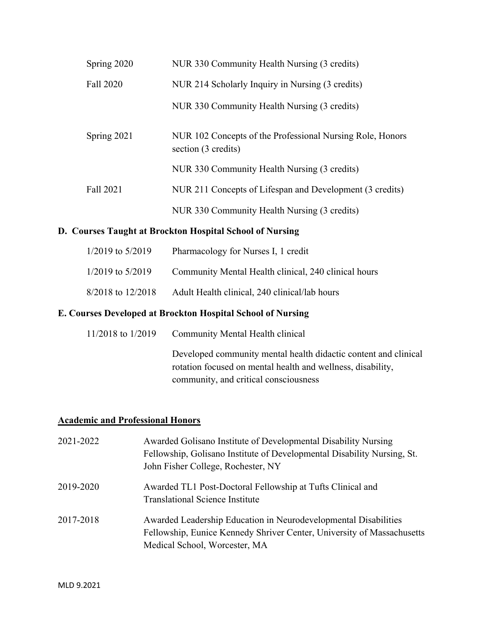| Spring 2020 | NUR 330 Community Health Nursing (3 credits)                                     |
|-------------|----------------------------------------------------------------------------------|
| Fall 2020   | NUR 214 Scholarly Inquiry in Nursing (3 credits)                                 |
|             | NUR 330 Community Health Nursing (3 credits)                                     |
| Spring 2021 | NUR 102 Concepts of the Professional Nursing Role, Honors<br>section (3 credits) |
|             | NUR 330 Community Health Nursing (3 credits)                                     |
| Fall 2021   | NUR 211 Concepts of Lifespan and Development (3 credits)                         |
|             | NUR 330 Community Health Nursing (3 credits)                                     |

## **D. Courses Taught at Brockton Hospital School of Nursing**

| $1/2019$ to $5/2019$ | Pharmacology for Nurses I, 1 credit                  |
|----------------------|------------------------------------------------------|
| $1/2019$ to $5/2019$ | Community Mental Health clinical, 240 clinical hours |
| 8/2018 to 12/2018    | Adult Health clinical, 240 clinical/lab hours        |

## **E. Courses Developed at Brockton Hospital School of Nursing**

| 11/2018 to 1/2019 | Community Mental Health clinical                                                                                                                                        |  |
|-------------------|-------------------------------------------------------------------------------------------------------------------------------------------------------------------------|--|
|                   | Developed community mental health didactic content and clinical<br>rotation focused on mental health and wellness, disability,<br>community, and critical consciousness |  |
|                   |                                                                                                                                                                         |  |

## **Academic and Professional Honors**

| 2021-2022 | Awarded Golisano Institute of Developmental Disability Nursing<br>Fellowship, Golisano Institute of Developmental Disability Nursing, St.<br>John Fisher College, Rochester, NY |
|-----------|---------------------------------------------------------------------------------------------------------------------------------------------------------------------------------|
| 2019-2020 | Awarded TL1 Post-Doctoral Fellowship at Tufts Clinical and<br><b>Translational Science Institute</b>                                                                            |
| 2017-2018 | Awarded Leadership Education in Neurodevelopmental Disabilities<br>Fellowship, Eunice Kennedy Shriver Center, University of Massachusetts<br>Medical School, Worcester, MA      |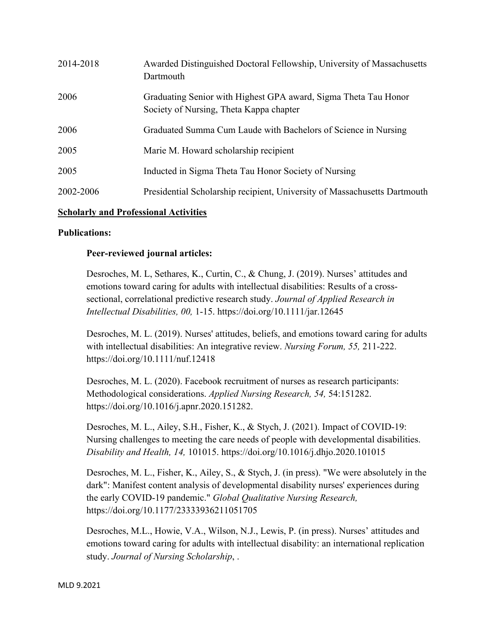| 2014-2018 | Awarded Distinguished Doctoral Fellowship, University of Massachusetts<br>Dartmouth                        |
|-----------|------------------------------------------------------------------------------------------------------------|
| 2006      | Graduating Senior with Highest GPA award, Sigma Theta Tau Honor<br>Society of Nursing, Theta Kappa chapter |
| 2006      | Graduated Summa Cum Laude with Bachelors of Science in Nursing                                             |
| 2005      | Marie M. Howard scholarship recipient                                                                      |
| 2005      | Inducted in Sigma Theta Tau Honor Society of Nursing                                                       |
| 2002-2006 | Presidential Scholarship recipient, University of Massachusetts Dartmouth                                  |

## **Scholarly and Professional Activities**

### **Publications:**

### **Peer-reviewed journal articles:**

Desroches, M. L, Sethares, K., Curtin, C., & Chung, J. (2019). Nurses' attitudes and emotions toward caring for adults with intellectual disabilities: Results of a crosssectional, correlational predictive research study. *Journal of Applied Research in Intellectual Disabilities, 00,* 1-15. https://doi.org/10.1111/jar.12645

Desroches, M. L. (2019). Nurses' attitudes, beliefs, and emotions toward caring for adults with intellectual disabilities: An integrative review. *Nursing Forum, 55,* 211-222. https://doi.org/10.1111/nuf.12418

Desroches, M. L. (2020). Facebook recruitment of nurses as research participants: Methodological considerations. *Applied Nursing Research, 54,* 54:151282. https://doi.org/10.1016/j.apnr.2020.151282.

Desroches, M. L., Ailey, S.H., Fisher, K., & Stych, J. (2021). Impact of COVID-19: Nursing challenges to meeting the care needs of people with developmental disabilities. *Disability and Health, 14,* 101015. https://doi.org/10.1016/j.dhjo.2020.101015

Desroches, M. L., Fisher, K., Ailey, S., & Stych, J. (in press). "We were absolutely in the dark": Manifest content analysis of developmental disability nurses' experiences during the early COVID-19 pandemic." *Global Qualitative Nursing Research,*  https://doi.org/10.1177/23333936211051705

Desroches, M.L., Howie, V.A., Wilson, N.J., Lewis, P. (in press). Nurses' attitudes and emotions toward caring for adults with intellectual disability: an international replication study. *Journal of Nursing Scholarship*, .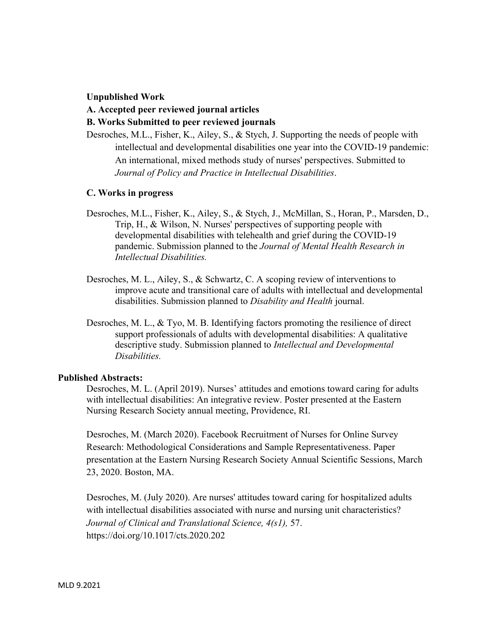#### **Unpublished Work**

#### **A. Accepted peer reviewed journal articles**

#### **B. Works Submitted to peer reviewed journals**

Desroches, M.L., Fisher, K., Ailey, S., & Stych, J. Supporting the needs of people with intellectual and developmental disabilities one year into the COVID-19 pandemic: An international, mixed methods study of nurses' perspectives. Submitted to *Journal of Policy and Practice in Intellectual Disabilities*.

#### **C. Works in progress**

- Desroches, M.L., Fisher, K., Ailey, S., & Stych, J., McMillan, S., Horan, P., Marsden, D., Trip, H., & Wilson, N. Nurses' perspectives of supporting people with developmental disabilities with telehealth and grief during the COVID-19 pandemic. Submission planned to the *Journal of Mental Health Research in Intellectual Disabilities.*
- Desroches, M. L., Ailey, S., & Schwartz, C. A scoping review of interventions to improve acute and transitional care of adults with intellectual and developmental disabilities. Submission planned to *Disability and Health* journal.
- Desroches, M. L., & Tyo, M. B. Identifying factors promoting the resilience of direct support professionals of adults with developmental disabilities: A qualitative descriptive study. Submission planned to *Intellectual and Developmental Disabilities.*

#### **Published Abstracts:**

Desroches, M. L. (April 2019). Nurses' attitudes and emotions toward caring for adults with intellectual disabilities: An integrative review. Poster presented at the Eastern Nursing Research Society annual meeting, Providence, RI.

Desroches, M. (March 2020). Facebook Recruitment of Nurses for Online Survey Research: Methodological Considerations and Sample Representativeness. Paper presentation at the Eastern Nursing Research Society Annual Scientific Sessions, March 23, 2020. Boston, MA.

Desroches, M. (July 2020). Are nurses' attitudes toward caring for hospitalized adults with intellectual disabilities associated with nurse and nursing unit characteristics? *Journal of Clinical and Translational Science, 4(s1),* 57. https://doi.org/10.1017/cts.2020.202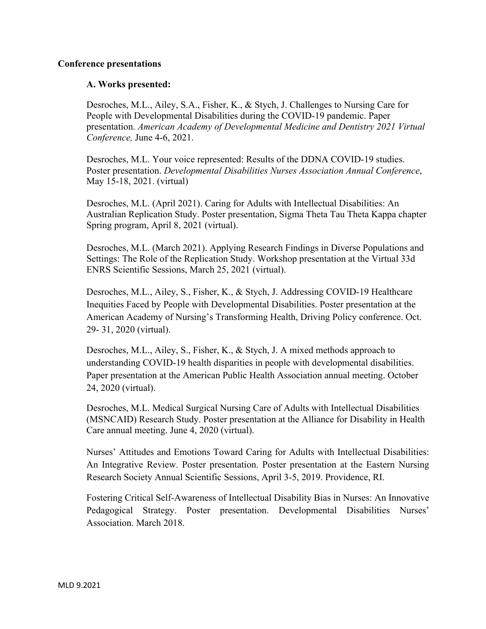### **Conference presentations**

## **A. Works presented:**

Desroches, M.L., Ailey, S.A., Fisher, K., & Stych, J. Challenges to Nursing Care for People with Developmental Disabilities during the COVID-19 pandemic. Paper presentation. *American Academy of Developmental Medicine and Dentistry 2021 Virtual Conference,* June 4-6, 2021.

Desroches, M.L. Your voice represented: Results of the DDNA COVID-19 studies. Poster presentation. *Developmental Disabilities Nurses Association Annual Conference*, May 15-18, 2021. (virtual)

Desroches, M.L. (April 2021). Caring for Adults with Intellectual Disabilities: An Australian Replication Study. Poster presentation, Sigma Theta Tau Theta Kappa chapter Spring program, April 8, 2021 (virtual).

Desroches, M.L. (March 2021). Applying Research Findings in Diverse Populations and Settings: The Role of the Replication Study. Workshop presentation at the Virtual 33d ENRS Scientific Sessions, March 25, 2021 (virtual).

Desroches, M.L., Ailey, S., Fisher, K., & Stych, J. Addressing COVID-19 Healthcare Inequities Faced by People with Developmental Disabilities. Poster presentation at the American Academy of Nursing's Transforming Health, Driving Policy conference. Oct. 29- 31, 2020 (virtual).

Desroches, M.L., Ailey, S., Fisher, K., & Stych, J. A mixed methods approach to understanding COVID-19 health disparities in people with developmental disabilities. Paper presentation at the American Public Health Association annual meeting. October 24, 2020 (virtual).

Desroches, M.L. Medical Surgical Nursing Care of Adults with Intellectual Disabilities (MSNCAID) Research Study. Poster presentation at the Alliance for Disability in Health Care annual meeting. June 4, 2020 (virtual).

Nurses' Attitudes and Emotions Toward Caring for Adults with Intellectual Disabilities: An Integrative Review. Poster presentation. Poster presentation at the Eastern Nursing Research Society Annual Scientific Sessions, April 3-5, 2019. Providence, RI.

Fostering Critical Self-Awareness of Intellectual Disability Bias in Nurses: An Innovative Pedagogical Strategy. Poster presentation. Developmental Disabilities Nurses' Association. March 2018.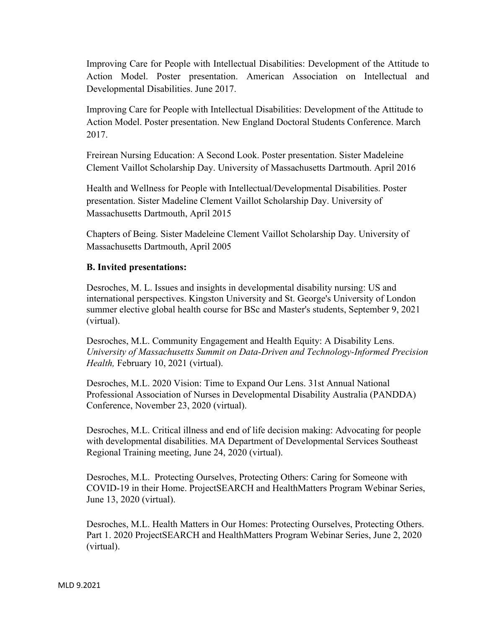Improving Care for People with Intellectual Disabilities: Development of the Attitude to Action Model. Poster presentation. American Association on Intellectual and Developmental Disabilities. June 2017.

Improving Care for People with Intellectual Disabilities: Development of the Attitude to Action Model. Poster presentation. New England Doctoral Students Conference. March 2017.

Freirean Nursing Education: A Second Look. Poster presentation. Sister Madeleine Clement Vaillot Scholarship Day. University of Massachusetts Dartmouth. April 2016

Health and Wellness for People with Intellectual/Developmental Disabilities. Poster presentation. Sister Madeline Clement Vaillot Scholarship Day. University of Massachusetts Dartmouth, April 2015

Chapters of Being. Sister Madeleine Clement Vaillot Scholarship Day. University of Massachusetts Dartmouth, April 2005

### **B. Invited presentations:**

Desroches, M. L. Issues and insights in developmental disability nursing: US and international perspectives. Kingston University and St. George's University of London summer elective global health course for BSc and Master's students, September 9, 2021 (virtual).

Desroches, M.L. Community Engagement and Health Equity: A Disability Lens. *University of Massachusetts Summit on Data-Driven and Technology-Informed Precision Health,* February 10, 2021 (virtual).

Desroches, M.L. 2020 Vision: Time to Expand Our Lens. 31st Annual National Professional Association of Nurses in Developmental Disability Australia (PANDDA) Conference, November 23, 2020 (virtual).

Desroches, M.L. Critical illness and end of life decision making: Advocating for people with developmental disabilities. MA Department of Developmental Services Southeast Regional Training meeting, June 24, 2020 (virtual).

Desroches, M.L. Protecting Ourselves, Protecting Others: Caring for Someone with COVID-19 in their Home. ProjectSEARCH and HealthMatters Program Webinar Series, June 13, 2020 (virtual).

Desroches, M.L. Health Matters in Our Homes: Protecting Ourselves, Protecting Others. Part 1. 2020 ProjectSEARCH and HealthMatters Program Webinar Series, June 2, 2020 (virtual).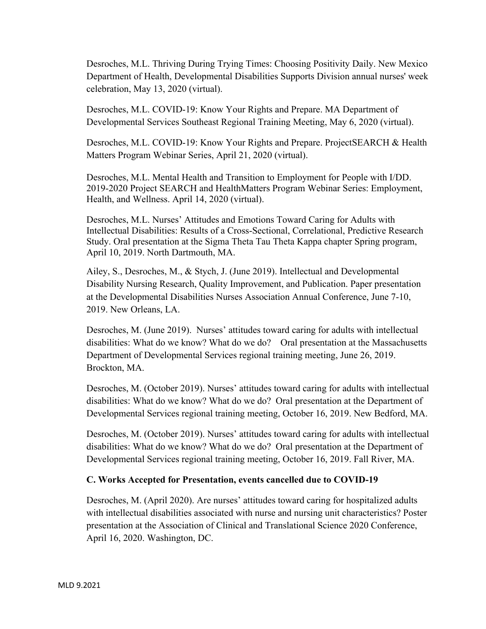Desroches, M.L. Thriving During Trying Times: Choosing Positivity Daily. New Mexico Department of Health, Developmental Disabilities Supports Division annual nurses' week celebration, May 13, 2020 (virtual).

Desroches, M.L. COVID-19: Know Your Rights and Prepare. MA Department of Developmental Services Southeast Regional Training Meeting, May 6, 2020 (virtual).

Desroches, M.L. COVID-19: Know Your Rights and Prepare. ProjectSEARCH & Health Matters Program Webinar Series, April 21, 2020 (virtual).

Desroches, M.L. Mental Health and Transition to Employment for People with I/DD. 2019-2020 Project SEARCH and HealthMatters Program Webinar Series: Employment, Health, and Wellness. April 14, 2020 (virtual).

Desroches, M.L. Nurses' Attitudes and Emotions Toward Caring for Adults with Intellectual Disabilities: Results of a Cross-Sectional, Correlational, Predictive Research Study. Oral presentation at the Sigma Theta Tau Theta Kappa chapter Spring program, April 10, 2019. North Dartmouth, MA.

Ailey, S., Desroches, M., & Stych, J. (June 2019). Intellectual and Developmental Disability Nursing Research, Quality Improvement, and Publication. Paper presentation at the Developmental Disabilities Nurses Association Annual Conference, June 7-10, 2019. New Orleans, LA.

Desroches, M. (June 2019). Nurses' attitudes toward caring for adults with intellectual disabilities: What do we know? What do we do? Oral presentation at the Massachusetts Department of Developmental Services regional training meeting, June 26, 2019. Brockton, MA.

Desroches, M. (October 2019). Nurses' attitudes toward caring for adults with intellectual disabilities: What do we know? What do we do? Oral presentation at the Department of Developmental Services regional training meeting, October 16, 2019. New Bedford, MA.

Desroches, M. (October 2019). Nurses' attitudes toward caring for adults with intellectual disabilities: What do we know? What do we do? Oral presentation at the Department of Developmental Services regional training meeting, October 16, 2019. Fall River, MA.

## **C. Works Accepted for Presentation, events cancelled due to COVID-19**

Desroches, M. (April 2020). Are nurses' attitudes toward caring for hospitalized adults with intellectual disabilities associated with nurse and nursing unit characteristics? Poster presentation at the Association of Clinical and Translational Science 2020 Conference, April 16, 2020. Washington, DC.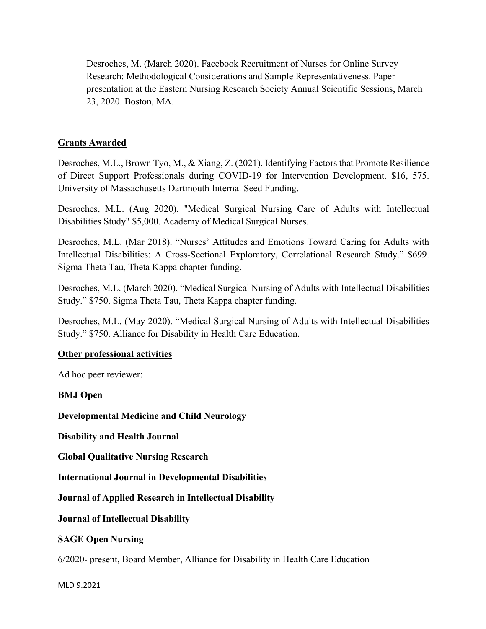Desroches, M. (March 2020). Facebook Recruitment of Nurses for Online Survey Research: Methodological Considerations and Sample Representativeness. Paper presentation at the Eastern Nursing Research Society Annual Scientific Sessions, March 23, 2020. Boston, MA.

## **Grants Awarded**

Desroches, M.L., Brown Tyo, M., & Xiang, Z. (2021). Identifying Factors that Promote Resilience of Direct Support Professionals during COVID-19 for Intervention Development. \$16, 575. University of Massachusetts Dartmouth Internal Seed Funding.

Desroches, M.L. (Aug 2020). "Medical Surgical Nursing Care of Adults with Intellectual Disabilities Study" \$5,000. Academy of Medical Surgical Nurses.

Desroches, M.L. (Mar 2018). "Nurses' Attitudes and Emotions Toward Caring for Adults with Intellectual Disabilities: A Cross-Sectional Exploratory, Correlational Research Study." \$699. Sigma Theta Tau, Theta Kappa chapter funding.

Desroches, M.L. (March 2020). "Medical Surgical Nursing of Adults with Intellectual Disabilities Study." \$750. Sigma Theta Tau, Theta Kappa chapter funding.

Desroches, M.L. (May 2020). "Medical Surgical Nursing of Adults with Intellectual Disabilities Study." \$750. Alliance for Disability in Health Care Education.

### **Other professional activities**

Ad hoc peer reviewer:

**BMJ Open**

**Developmental Medicine and Child Neurology**

**Disability and Health Journal**

**Global Qualitative Nursing Research**

**International Journal in Developmental Disabilities**

**Journal of Applied Research in Intellectual Disability**

**Journal of Intellectual Disability**

## **SAGE Open Nursing**

6/2020- present, Board Member, Alliance for Disability in Health Care Education

MLD 9.2021